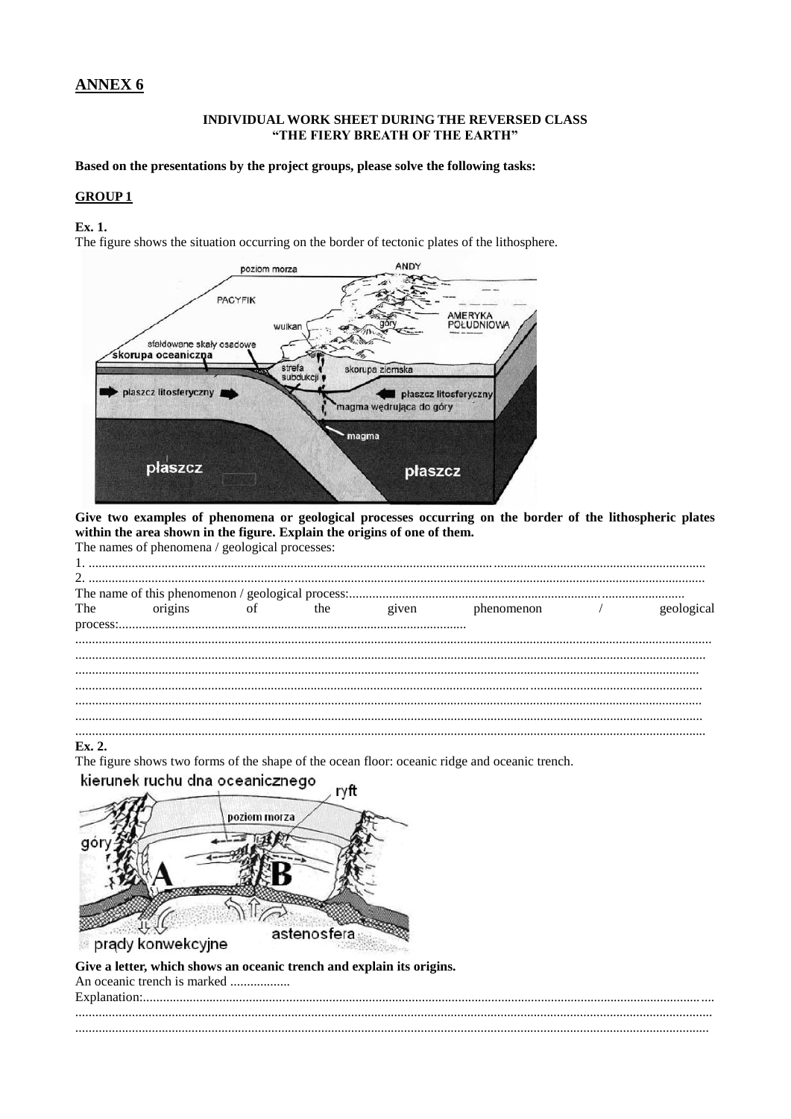# **ANNEX 6**

#### INDIVIDUAL WORK SHEET DURING THE REVERSED CLASS "THE FIERY BREATH OF THE EARTH"

Based on the presentations by the project groups, please solve the following tasks:

#### **GROUP1**

Ex. 1.

The figure shows the situation occurring on the border of tectonic plates of the lithosphere.



Give two examples of phenomena or geological processes occurring on the border of the lithospheric plates within the area shown in the figure. Explain the origins of one of them. The names of phenomena / geological processes:

| The numes of phenomena, geological processes. |  |  |            |
|-----------------------------------------------|--|--|------------|
|                                               |  |  |            |
|                                               |  |  |            |
|                                               |  |  |            |
|                                               |  |  | geological |
|                                               |  |  |            |
|                                               |  |  |            |
|                                               |  |  |            |
|                                               |  |  |            |
|                                               |  |  |            |
|                                               |  |  |            |
|                                               |  |  |            |
|                                               |  |  |            |
|                                               |  |  |            |
|                                               |  |  |            |

Ex. 2.

The figure shows two forms of the shape of the ocean floor: oceanic ridge and oceanic trench.

kierunek ruchu dna oceanicznego ryft



Give a letter, which shows an oceanic trench and explain its origins. An oceanic trench is marked ..................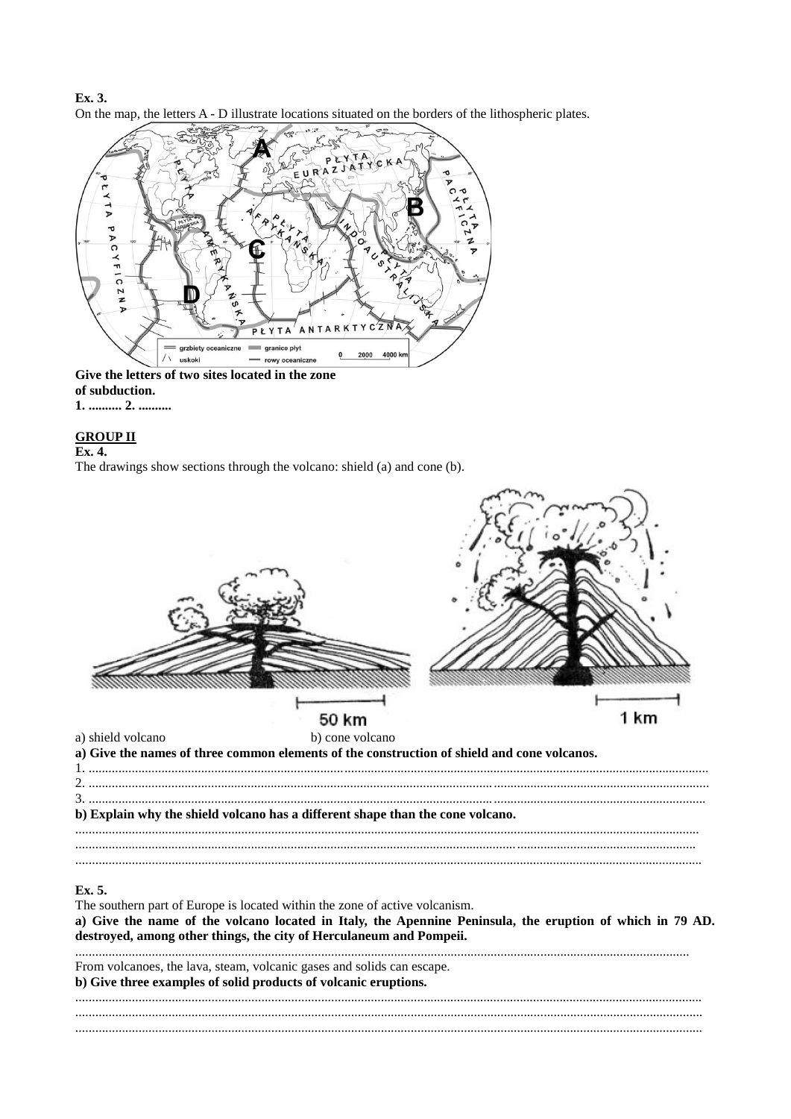Ex. 3. On the map, the letters A - D illustrate locations situated on the borders of the lithospheric plates.



# of subduction.

# 1. .......... 2. ..........

#### **GROUP II**

#### Ex. 4.

The drawings show sections through the volcano: shield (a) and cone (b).

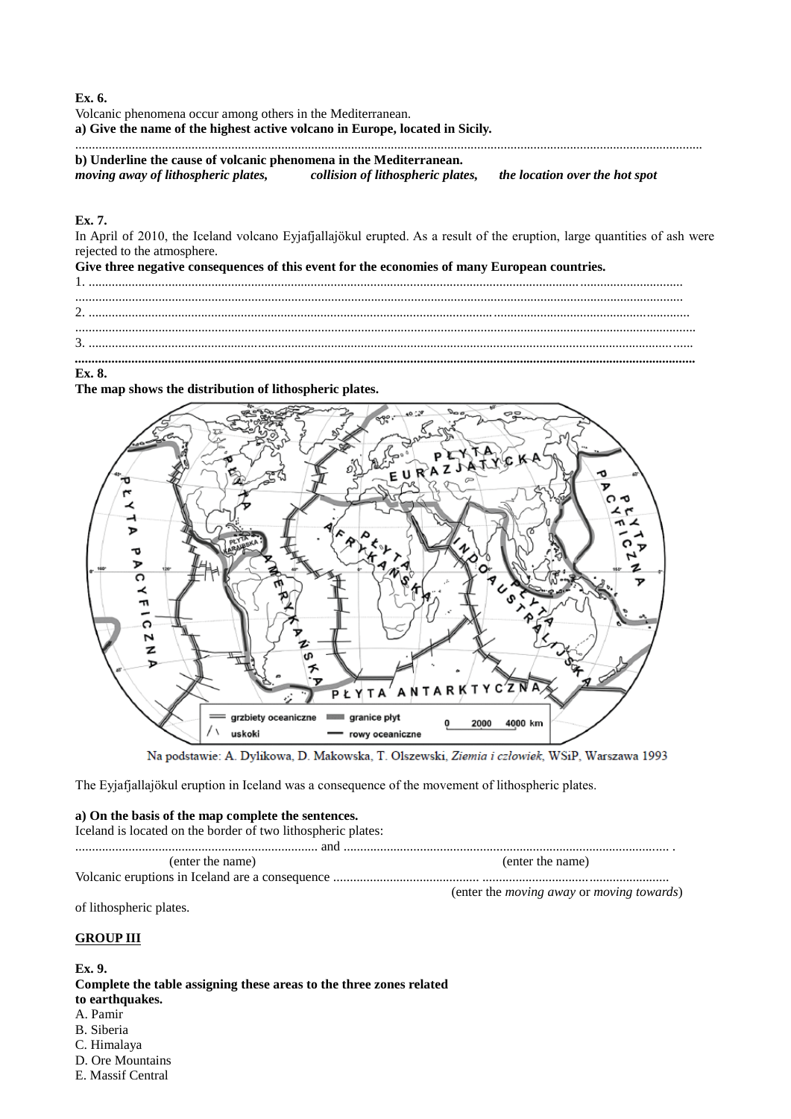**Ex. 6.**

Volcanic phenomena occur among others in the Mediterranean.

**a) Give the name of the highest active volcano in Europe, located in Sicily.**

............................................................................................................................................................................................. **b) Underline the cause of volcanic phenomena in the Mediterranean.**

*moving away of lithospheric plates, collision of lithospheric plates, the location over the hot spot*

#### **Ex. 7.**

In April of 2010, the Iceland volcano Eyjafjallajökul erupted. As a result of the eruption, large quantities of ash were rejected to the atmosphere.

**Give three negative consequences of this event for the economies of many European countries.** 1. ................................................................................................................................................................................... ....................................................................................................................................................................................... 2. ..................................................................................................................................................................................... ........................................................................................................................................................................................... 3. ...................................................................................................................................................................................... *...........................................................................................................................................................................................*

#### **Ex. 8.**

**The map shows the distribution of lithospheric plates.**



Na podstawie: A. Dylikowa, D. Makowska, T. Olszewski, Ziemia i człowiek, WSiP, Warszawa 1993

The Eyjafjallajökul eruption in Iceland was a consequence of the movement of lithospheric plates.

#### **a) On the basis of the map complete the sentences.**

Iceland is located on the border of two lithospheric plates:

......................................................................... and .................................................................................................. . (enter the name) (enter the name)

Volcanic eruptions in Iceland are a consequence ............................................ ........................................................

(enter the *moving away* or *moving towards*)

of lithospheric plates.

## **GROUP III**

**Ex. 9. Complete the table assigning these areas to the three zones related to earthquakes.** A. Pamir B. Siberia C. Himalaya D. Ore Mountains

E. Massif Central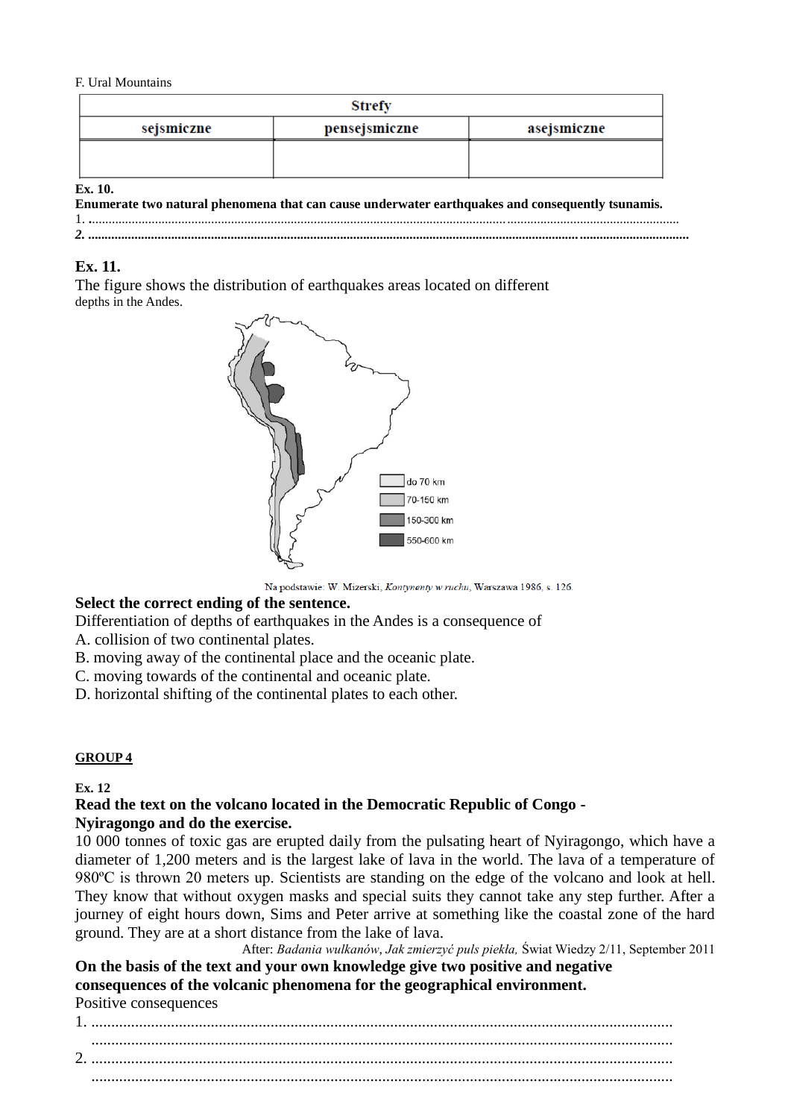#### F. Ural Mountains

|            | Strefy        |             |
|------------|---------------|-------------|
| sejsmiczne | pensejsmiczne | asejsmiczne |
|            |               |             |
|            |               |             |
| $Fx$ 10    |               |             |

**Ex. 10.**

|  | Enumerate two natural phenomena that can cause underwater earthquakes and consequently tsunamis.                                                                                                                                                                                                                                                                                                                                                           |  |
|--|------------------------------------------------------------------------------------------------------------------------------------------------------------------------------------------------------------------------------------------------------------------------------------------------------------------------------------------------------------------------------------------------------------------------------------------------------------|--|
|  | $\mathbf{1}, \mathbf{1}, \mathbf{1}, \mathbf{1}, \mathbf{1}, \mathbf{1}, \mathbf{1}, \mathbf{1}, \mathbf{1}, \mathbf{1}, \mathbf{1}, \mathbf{1}, \mathbf{1}, \mathbf{1}, \mathbf{1}, \mathbf{1}, \mathbf{1}, \mathbf{1}, \mathbf{1}, \mathbf{1}, \mathbf{1}, \mathbf{1}, \mathbf{1}, \mathbf{1}, \mathbf{1}, \mathbf{1}, \mathbf{1}, \mathbf{1}, \mathbf{1}, \mathbf{1}, \mathbf{1}, \mathbf{1}, \mathbf{1}, \mathbf{1}, \mathbf{1}, \mathbf{1}, \mathbf{$ |  |
|  |                                                                                                                                                                                                                                                                                                                                                                                                                                                            |  |

# **Ex. 11.**

The figure shows the distribution of earthquakes areas located on different depths in the Andes.



Na podstawie: W. Mizerski, Kontynenty w ruchu, Warszawa 1986, s. 126.

# **Select the correct ending of the sentence.**

Differentiation of depths of earthquakes in the Andes is a consequence of

A. collision of two continental plates.

B. moving away of the continental place and the oceanic plate.

C. moving towards of the continental and oceanic plate.

D. horizontal shifting of the continental plates to each other.

# **GROUP 4**

**Ex. 12**

### **Read the text on the volcano located in the Democratic Republic of Congo - Nyiragongo and do the exercise.**

10 000 tonnes of toxic gas are erupted daily from the pulsating heart of Nyiragongo, which have a diameter of 1,200 meters and is the largest lake of lava in the world. The lava of a temperature of 980ºC is thrown 20 meters up. Scientists are standing on the edge of the volcano and look at hell. They know that without oxygen masks and special suits they cannot take any step further. After a journey of eight hours down, Sims and Peter arrive at something like the coastal zone of the hard ground. They are at a short distance from the lake of lava.

After: *Badania wulkanów*, *Jak zmierzyć puls piekła,* Świat Wiedzy 2/11, September 2011

**On the basis of the text and your own knowledge give two positive and negative consequences of the volcanic phenomena for the geographical environment.** Positive consequences

1. .................................................................................................................................................. .................................................................................................................................................. 2. .................................................................................................................................................. ..................................................................................................................................................